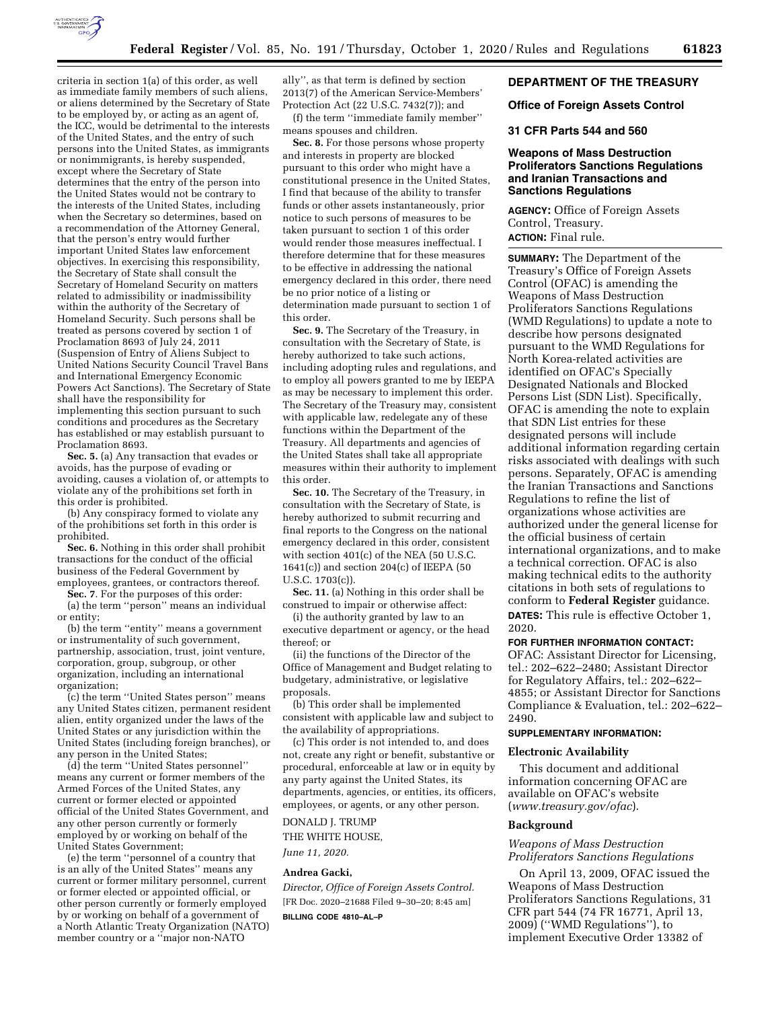

criteria in section 1(a) of this order, as well as immediate family members of such aliens, or aliens determined by the Secretary of State to be employed by, or acting as an agent of, the ICC, would be detrimental to the interests of the United States, and the entry of such persons into the United States, as immigrants or nonimmigrants, is hereby suspended, except where the Secretary of State determines that the entry of the person into the United States would not be contrary to the interests of the United States, including when the Secretary so determines, based on a recommendation of the Attorney General, that the person's entry would further important United States law enforcement objectives. In exercising this responsibility, the Secretary of State shall consult the Secretary of Homeland Security on matters related to admissibility or inadmissibility within the authority of the Secretary of Homeland Security. Such persons shall be treated as persons covered by section 1 of Proclamation 8693 of July 24, 2011 (Suspension of Entry of Aliens Subject to United Nations Security Council Travel Bans and International Emergency Economic Powers Act Sanctions). The Secretary of State shall have the responsibility for implementing this section pursuant to such conditions and procedures as the Secretary has established or may establish pursuant to Proclamation 8693.

**Sec. 5.** (a) Any transaction that evades or avoids, has the purpose of evading or avoiding, causes a violation of, or attempts to violate any of the prohibitions set forth in this order is prohibited.

(b) Any conspiracy formed to violate any of the prohibitions set forth in this order is prohibited.

**Sec. 6.** Nothing in this order shall prohibit transactions for the conduct of the official business of the Federal Government by employees, grantees, or contractors thereof.

**Sec. 7**. For the purposes of this order:

(a) the term ''person'' means an individual or entity;

(b) the term ''entity'' means a government or instrumentality of such government, partnership, association, trust, joint venture, corporation, group, subgroup, or other organization, including an international organization;

(c) the term ''United States person'' means any United States citizen, permanent resident alien, entity organized under the laws of the United States or any jurisdiction within the United States (including foreign branches), or any person in the United States;

(d) the term ''United States personnel'' means any current or former members of the Armed Forces of the United States, any current or former elected or appointed official of the United States Government, and any other person currently or formerly employed by or working on behalf of the United States Government;

(e) the term ''personnel of a country that is an ally of the United States'' means any current or former military personnel, current or former elected or appointed official, or other person currently or formerly employed by or working on behalf of a government of a North Atlantic Treaty Organization (NATO) member country or a ''major non-NATO

ally'', as that term is defined by section 2013(7) of the American Service-Members' Protection Act (22 U.S.C. 7432(7)); and

(f) the term ''immediate family member'' means spouses and children.

**Sec. 8.** For those persons whose property and interests in property are blocked pursuant to this order who might have a constitutional presence in the United States, I find that because of the ability to transfer funds or other assets instantaneously, prior notice to such persons of measures to be taken pursuant to section 1 of this order would render those measures ineffectual. I therefore determine that for these measures to be effective in addressing the national emergency declared in this order, there need be no prior notice of a listing or determination made pursuant to section 1 of this order.

**Sec. 9.** The Secretary of the Treasury, in consultation with the Secretary of State, is hereby authorized to take such actions, including adopting rules and regulations, and to employ all powers granted to me by IEEPA as may be necessary to implement this order. The Secretary of the Treasury may, consistent with applicable law, redelegate any of these functions within the Department of the Treasury. All departments and agencies of the United States shall take all appropriate measures within their authority to implement this order.

**Sec. 10.** The Secretary of the Treasury, in consultation with the Secretary of State, is hereby authorized to submit recurring and final reports to the Congress on the national emergency declared in this order, consistent with section 401(c) of the NEA (50 U.S.C. 1641(c)) and section 204(c) of IEEPA (50 U.S.C. 1703(c)).

**Sec. 11.** (a) Nothing in this order shall be construed to impair or otherwise affect:

(i) the authority granted by law to an executive department or agency, or the head thereof; or

(ii) the functions of the Director of the Office of Management and Budget relating to budgetary, administrative, or legislative proposals.

(b) This order shall be implemented consistent with applicable law and subject to the availability of appropriations.

(c) This order is not intended to, and does not, create any right or benefit, substantive or procedural, enforceable at law or in equity by any party against the United States, its departments, agencies, or entities, its officers, employees, or agents, or any other person.

DONALD J. TRUMP THE WHITE HOUSE,

*June 11, 2020.* 

#### **Andrea Gacki,**

*Director, Office of Foreign Assets Control.*  [FR Doc. 2020–21688 Filed 9–30–20; 8:45 am]

**BILLING CODE 4810–AL–P** 

### **DEPARTMENT OF THE TREASURY**

#### **Office of Foreign Assets Control**

### **31 CFR Parts 544 and 560**

### **Weapons of Mass Destruction Proliferators Sanctions Regulations and Iranian Transactions and Sanctions Regulations**

**AGENCY:** Office of Foreign Assets Control, Treasury. **ACTION:** Final rule.

**SUMMARY:** The Department of the Treasury's Office of Foreign Assets Control (OFAC) is amending the Weapons of Mass Destruction Proliferators Sanctions Regulations (WMD Regulations) to update a note to describe how persons designated pursuant to the WMD Regulations for North Korea-related activities are identified on OFAC's Specially Designated Nationals and Blocked Persons List (SDN List). Specifically, OFAC is amending the note to explain that SDN List entries for these designated persons will include additional information regarding certain risks associated with dealings with such persons. Separately, OFAC is amending the Iranian Transactions and Sanctions Regulations to refine the list of organizations whose activities are authorized under the general license for the official business of certain international organizations, and to make a technical correction. OFAC is also making technical edits to the authority citations in both sets of regulations to conform to **Federal Register** guidance. **DATES:** This rule is effective October 1, 2020.

#### **FOR FURTHER INFORMATION CONTACT:**

OFAC: Assistant Director for Licensing, tel.: 202–622–2480; Assistant Director for Regulatory Affairs, tel.: 202–622– 4855; or Assistant Director for Sanctions Compliance & Evaluation, tel.: 202–622– 2490.

### **SUPPLEMENTARY INFORMATION:**

#### **Electronic Availability**

This document and additional information concerning OFAC are available on OFAC's website (*[www.treasury.gov/ofac](http://www.treasury.gov/ofac)*).

#### **Background**

### *Weapons of Mass Destruction Proliferators Sanctions Regulations*

On April 13, 2009, OFAC issued the Weapons of Mass Destruction Proliferators Sanctions Regulations, 31 CFR part 544 (74 FR 16771, April 13, 2009) (''WMD Regulations''), to implement Executive Order 13382 of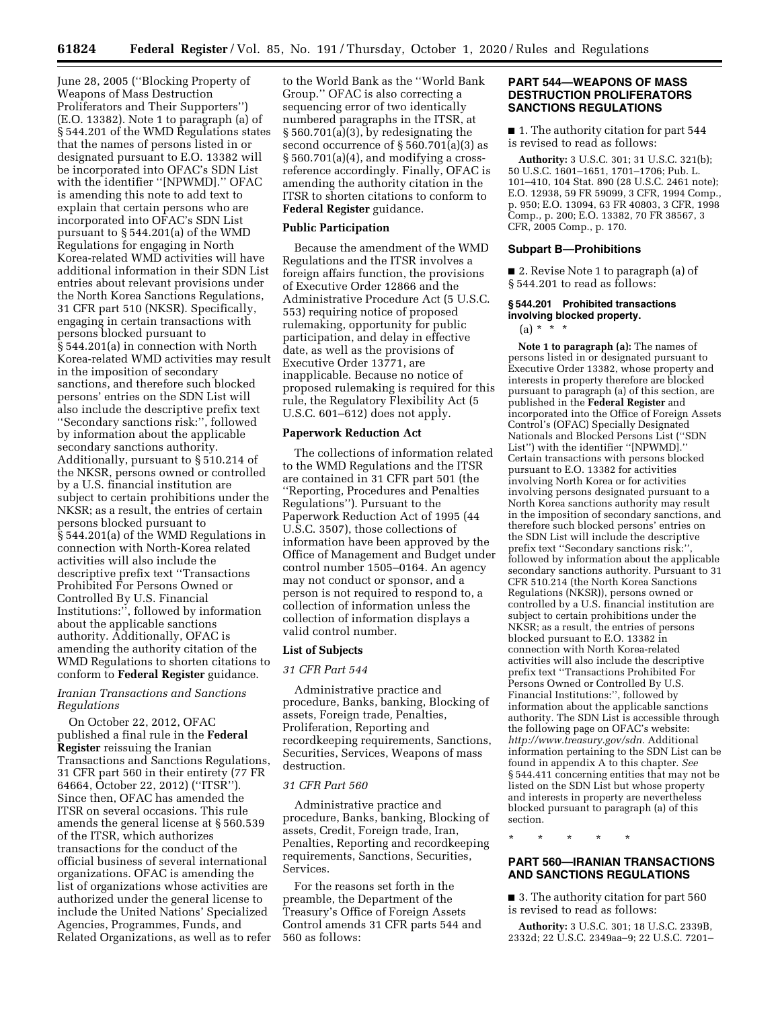June 28, 2005 (''Blocking Property of Weapons of Mass Destruction Proliferators and Their Supporters'') (E.O. 13382). Note 1 to paragraph (a) of § 544.201 of the WMD Regulations states that the names of persons listed in or designated pursuant to E.O. 13382 will be incorporated into OFAC's SDN List with the identifier ''[NPWMD].'' OFAC is amending this note to add text to explain that certain persons who are incorporated into OFAC's SDN List pursuant to § 544.201(a) of the WMD Regulations for engaging in North Korea-related WMD activities will have additional information in their SDN List entries about relevant provisions under the North Korea Sanctions Regulations, 31 CFR part 510 (NKSR). Specifically, engaging in certain transactions with persons blocked pursuant to § 544.201(a) in connection with North Korea-related WMD activities may result in the imposition of secondary sanctions, and therefore such blocked persons' entries on the SDN List will also include the descriptive prefix text ''Secondary sanctions risk:'', followed by information about the applicable secondary sanctions authority. Additionally, pursuant to § 510.214 of the NKSR, persons owned or controlled by a U.S. financial institution are subject to certain prohibitions under the NKSR; as a result, the entries of certain persons blocked pursuant to § 544.201(a) of the WMD Regulations in connection with North-Korea related activities will also include the descriptive prefix text ''Transactions Prohibited For Persons Owned or Controlled By U.S. Financial Institutions:'', followed by information about the applicable sanctions authority. Additionally, OFAC is amending the authority citation of the WMD Regulations to shorten citations to conform to **Federal Register** guidance.

### *Iranian Transactions and Sanctions Regulations*

On October 22, 2012, OFAC published a final rule in the **Federal Register** reissuing the Iranian Transactions and Sanctions Regulations, 31 CFR part 560 in their entirety (77 FR 64664, October 22, 2012) (''ITSR''). Since then, OFAC has amended the ITSR on several occasions. This rule amends the general license at § 560.539 of the ITSR, which authorizes transactions for the conduct of the official business of several international organizations. OFAC is amending the list of organizations whose activities are authorized under the general license to include the United Nations' Specialized Agencies, Programmes, Funds, and Related Organizations, as well as to refer to the World Bank as the ''World Bank Group.'' OFAC is also correcting a sequencing error of two identically numbered paragraphs in the ITSR, at § 560.701(a)(3), by redesignating the second occurrence of  $\S 560.701(a)(3)$  as  $\S 560.701(a)(4)$ , and modifying a crossreference accordingly. Finally, OFAC is amending the authority citation in the ITSR to shorten citations to conform to **Federal Register** guidance.

#### **Public Participation**

Because the amendment of the WMD Regulations and the ITSR involves a foreign affairs function, the provisions of Executive Order 12866 and the Administrative Procedure Act (5 U.S.C. 553) requiring notice of proposed rulemaking, opportunity for public participation, and delay in effective date, as well as the provisions of Executive Order 13771, are inapplicable. Because no notice of proposed rulemaking is required for this rule, the Regulatory Flexibility Act (5 U.S.C. 601–612) does not apply.

### **Paperwork Reduction Act**

The collections of information related to the WMD Regulations and the ITSR are contained in 31 CFR part 501 (the ''Reporting, Procedures and Penalties Regulations''). Pursuant to the Paperwork Reduction Act of 1995 (44 U.S.C. 3507), those collections of information have been approved by the Office of Management and Budget under control number 1505–0164. An agency may not conduct or sponsor, and a person is not required to respond to, a collection of information unless the collection of information displays a valid control number.

#### **List of Subjects**

#### *31 CFR Part 544*

Administrative practice and procedure, Banks, banking, Blocking of assets, Foreign trade*,* Penalties, Proliferation, Reporting and recordkeeping requirements, Sanctions, Securities, Services, Weapons of mass destruction.

### *31 CFR Part 560*

Administrative practice and procedure, Banks, banking, Blocking of assets, Credit, Foreign trade, Iran, Penalties, Reporting and recordkeeping requirements, Sanctions, Securities, Services.

For the reasons set forth in the preamble, the Department of the Treasury's Office of Foreign Assets Control amends 31 CFR parts 544 and 560 as follows:

### **PART 544—WEAPONS OF MASS DESTRUCTION PROLIFERATORS SANCTIONS REGULATIONS**

■ 1. The authority citation for part 544 is revised to read as follows:

**Authority:** 3 U.S.C. 301; 31 U.S.C. 321(b); 50 U.S.C. 1601–1651, 1701–1706; Pub. L. 101–410, 104 Stat. 890 (28 U.S.C. 2461 note); E.O. 12938, 59 FR 59099, 3 CFR, 1994 Comp., p. 950; E.O. 13094, 63 FR 40803, 3 CFR, 1998 Comp., p. 200; E.O. 13382, 70 FR 38567, 3 CFR, 2005 Comp., p. 170.

#### **Subpart B—Prohibitions**

■ 2. Revise Note 1 to paragraph (a) of § 544.201 to read as follows:

### **§ 544.201 Prohibited transactions involving blocked property.**

 $(a) * * * *$ 

**Note 1 to paragraph (a):** The names of persons listed in or designated pursuant to Executive Order 13382, whose property and interests in property therefore are blocked pursuant to paragraph (a) of this section, are published in the **Federal Register** and incorporated into the Office of Foreign Assets Control's (OFAC) Specially Designated Nationals and Blocked Persons List (''SDN List'') with the identifier ''[NPWMD].'' Certain transactions with persons blocked pursuant to E.O. 13382 for activities involving North Korea or for activities involving persons designated pursuant to a North Korea sanctions authority may result in the imposition of secondary sanctions, and therefore such blocked persons' entries on the SDN List will include the descriptive prefix text "Secondary sanctions risk:" followed by information about the applicable secondary sanctions authority. Pursuant to 31 CFR 510.214 (the North Korea Sanctions Regulations (NKSR)), persons owned or controlled by a U.S. financial institution are subject to certain prohibitions under the NKSR; as a result, the entries of persons blocked pursuant to E.O. 13382 in connection with North Korea-related activities will also include the descriptive prefix text ''Transactions Prohibited For Persons Owned or Controlled By U.S. Financial Institutions:'', followed by information about the applicable sanctions authority. The SDN List is accessible through the following page on OFAC's website: *[http://www.treasury.gov/sdn.](http://www.treasury.gov/sdn)* Additional information pertaining to the SDN List can be found in appendix A to this chapter. *See*  § 544.411 concerning entities that may not be listed on the SDN List but whose property and interests in property are nevertheless blocked pursuant to paragraph (a) of this section.

\* \* \* \* \*

### **PART 560—IRANIAN TRANSACTIONS AND SANCTIONS REGULATIONS**

■ 3. The authority citation for part 560 is revised to read as follows:

**Authority:** 3 U.S.C. 301; 18 U.S.C. 2339B, 2332d; 22 U.S.C. 2349aa–9; 22 U.S.C. 7201–